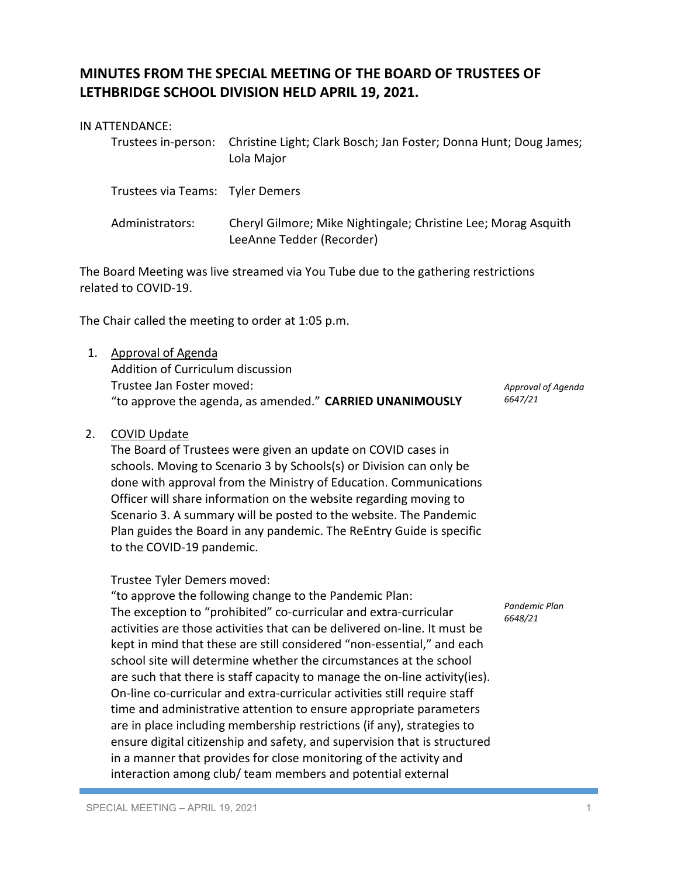# **MINUTES FROM THE SPECIAL MEETING OF THE BOARD OF TRUSTEES OF LETHBRIDGE SCHOOL DIVISION HELD APRIL 19, 2021.**

#### IN ATTENDANCE:

|                                  | Trustees in-person: Christine Light; Clark Bosch; Jan Foster; Donna Hunt; Doug James;<br>Lola Major |
|----------------------------------|-----------------------------------------------------------------------------------------------------|
| Trustees via Teams: Tyler Demers |                                                                                                     |

Administrators: Cheryl Gilmore; Mike Nightingale; Christine Lee; Morag Asquith LeeAnne Tedder (Recorder)

The Board Meeting was live streamed via You Tube due to the gathering restrictions related to COVID-19.

The Chair called the meeting to order at 1:05 p.m.

1. Approval of Agenda Addition of Curriculum discussion Trustee Jan Foster moved: "to approve the agenda, as amended." **CARRIED UNANIMOUSLY**

*Approval of Agenda 6647/21*

## 2. COVID Update

The Board of Trustees were given an update on COVID cases in schools. Moving to Scenario 3 by Schools(s) or Division can only be done with approval from the Ministry of Education. Communications Officer will share information on the website regarding moving to Scenario 3. A summary will be posted to the website. The Pandemic Plan guides the Board in any pandemic. The ReEntry Guide is specific to the COVID-19 pandemic.

### Trustee Tyler Demers moved:

"to approve the following change to the Pandemic Plan: The exception to "prohibited" co-curricular and extra-curricular activities are those activities that can be delivered on-line. It must be kept in mind that these are still considered "non-essential," and each school site will determine whether the circumstances at the school are such that there is staff capacity to manage the on-line activity(ies). On-line co-curricular and extra-curricular activities still require staff time and administrative attention to ensure appropriate parameters are in place including membership restrictions (if any), strategies to ensure digital citizenship and safety, and supervision that is structured in a manner that provides for close monitoring of the activity and interaction among club/ team members and potential external

*Pandemic Plan 6648/21*